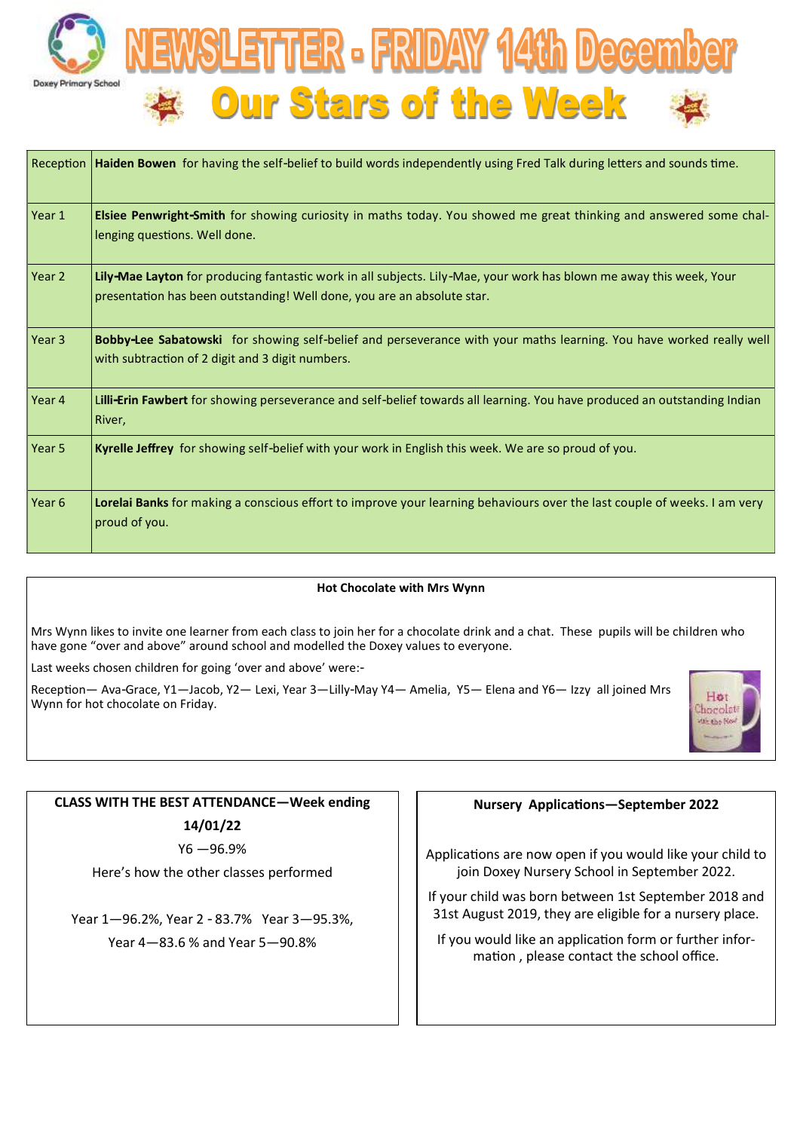



| $ $ Reception $ $ | Haiden Bowen for having the self-belief to build words independently using Fred Talk during letters and sounds time.                                                                           |
|-------------------|------------------------------------------------------------------------------------------------------------------------------------------------------------------------------------------------|
| Year 1            | Elsiee Penwright-Smith for showing curiosity in maths today. You showed me great thinking and answered some chal-<br>lenging questions. Well done.                                             |
| Year 2            | Lily-Mae Layton for producing fantastic work in all subjects. Lily-Mae, your work has blown me away this week, Your<br>presentation has been outstanding! Well done, you are an absolute star. |
| Year 3            | Bobby-Lee Sabatowski for showing self-belief and perseverance with your maths learning. You have worked really well<br>with subtraction of 2 digit and 3 digit numbers.                        |
| Year 4            | Lilli-Erin Fawbert for showing perseverance and self-belief towards all learning. You have produced an outstanding Indian<br>River,                                                            |
| Year 5            | Kyrelle Jeffrey for showing self-belief with your work in English this week. We are so proud of you.                                                                                           |
| Year <sub>6</sub> | Lorelai Banks for making a conscious effort to improve your learning behaviours over the last couple of weeks. I am very<br>proud of you.                                                      |

#### **Hot Chocolate with Mrs Wynn**

Mrs Wynn likes to invite one learner from each class to join her for a chocolate drink and a chat. These pupils will be children who have gone "over and above" around school and modelled the Doxey values to everyone.

Last weeks chosen children for going 'over and above' were:-

Reception— Ava-Grace, Y1—Jacob, Y2— Lexi, Year 3—Lilly-May Y4— Amelia, Y5— Elena and Y6— Izzy all joined Mrs Wynn for hot chocolate on Friday.



# **CLASS WITH THE BEST ATTENDANCE—Week ending 14/01/22**

Y6 —96.9%

Here's how the other classes performed

Year 1—96.2%, Year 2 - 83.7% Year 3—95.3%, Year 4—83.6 % and Year 5—90.8%

#### **Nursery Applications—September 2022**

Applications are now open if you would like your child to join Doxey Nursery School in September 2022.

If your child was born between 1st September 2018 and 31st August 2019, they are eligible for a nursery place.

If you would like an application form or further information , please contact the school office.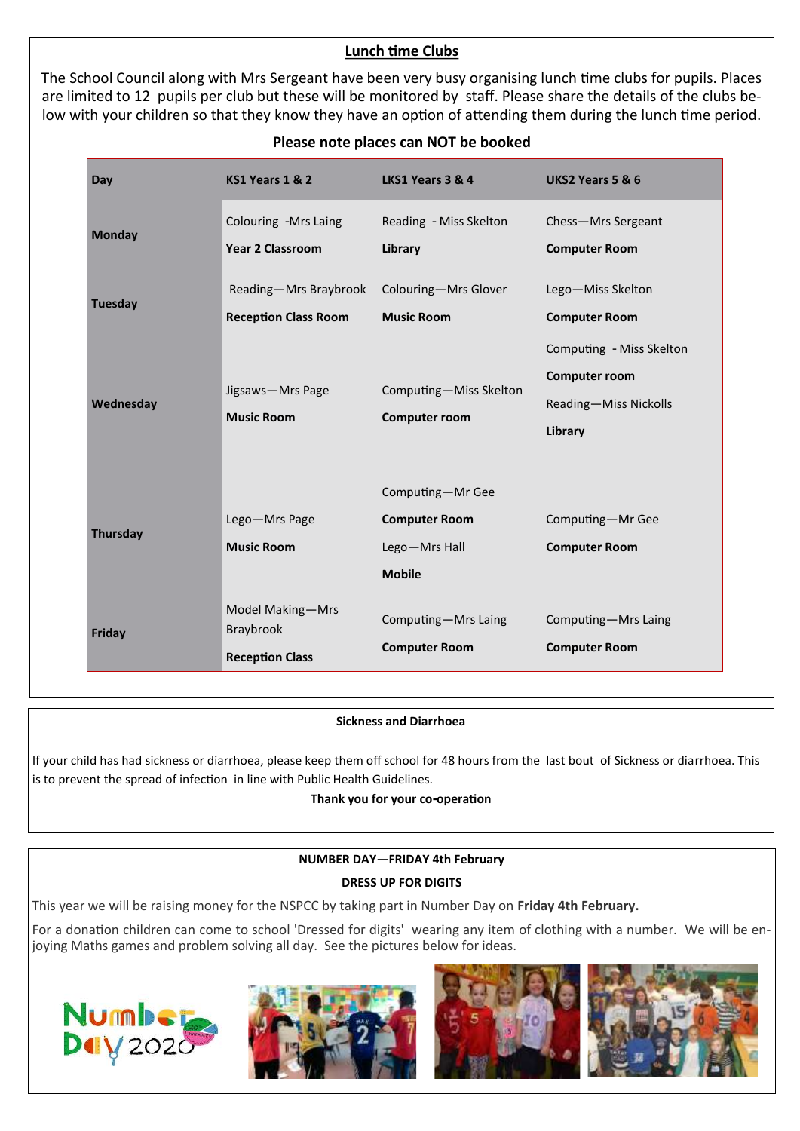## **Lunch time Clubs**

The School Council along with Mrs Sergeant have been very busy organising lunch time clubs for pupils. Places are limited to 12 pupils per club but these will be monitored by staff. Please share the details of the clubs below with your children so that they know they have an option of attending them during the lunch time period.

| Day            | KS1 Years 1 & 2                                         | LKS1 Years 3 & 4                                                           | <b>UKS2 Years 5 &amp; 6</b>                                                          |
|----------------|---------------------------------------------------------|----------------------------------------------------------------------------|--------------------------------------------------------------------------------------|
| <b>Monday</b>  | Colouring - Mrs Laing<br><b>Year 2 Classroom</b>        | Reading - Miss Skelton<br>Library                                          | Chess-Mrs Sergeant<br><b>Computer Room</b>                                           |
| <b>Tuesday</b> | Reading-Mrs Braybrook<br><b>Reception Class Room</b>    | Colouring-Mrs Glover<br><b>Music Room</b>                                  | Lego-Miss Skelton<br><b>Computer Room</b>                                            |
| Wednesday      | Jigsaws-Mrs Page<br><b>Music Room</b>                   | Computing-Miss Skelton<br><b>Computer room</b>                             | Computing - Miss Skelton<br><b>Computer room</b><br>Reading-Miss Nickolls<br>Library |
| Thursday       | Lego-Mrs Page<br><b>Music Room</b>                      | Computing-Mr Gee<br><b>Computer Room</b><br>Lego-Mrs Hall<br><b>Mobile</b> | Computing-Mr Gee<br><b>Computer Room</b>                                             |
| Friday         | Model Making-Mrs<br>Braybrook<br><b>Reception Class</b> | Computing-Mrs Laing<br><b>Computer Room</b>                                | Computing-Mrs Laing<br><b>Computer Room</b>                                          |

## **Please note places can NOT be booked**

### **Sickness and Diarrhoea**

If your child has had sickness or diarrhoea, please keep them off school for 48 hours from the last bout of Sickness or diarrhoea. This is to prevent the spread of infection in line with Public Health Guidelines.

### **Thank you for your co-operation**

# **NUMBER DAY—FRIDAY 4th February DRESS UP FOR DIGITS**

This year we will be raising money for the NSPCC by taking part in Number Day on **Friday 4th February.**

For a donation children can come to school 'Dressed for digits' wearing any item of clothing with a number. We will be enjoying Maths games and problem solving all day. See the pictures below for ideas.